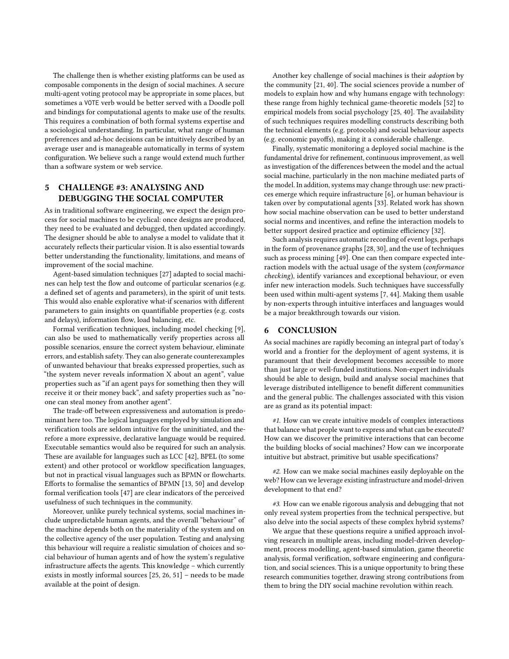The challenge then is whether existing platforms can be used as composable components in the design of social machines. A secure multi-agent voting protocol may be appropriate in some places, but sometimes a VOTE verb would be better served with a Doodle poll and bindings for computational agents to make use of the results. This requires a combination of both formal systems expertise and a sociological understanding. In particular, what range of human preferences and ad-hoc decisions can be intuitively described by an average user and is manageable automatically in terms of system configuration. We believe such a range would extend much further than a software system or web service.

## 5 CHALLENGE #3: ANALYSING AND DEBUGGING THE SOCIAL COMPUTER

As in traditional software engineering, we expect the design process for social machines to be cyclical: once designs are produced, they need to be evaluated and debugged, then updated accordingly. The designer should be able to analyse a model to validate that it accurately reflects their particular vision. It is also essential towards better understanding the functionality, limitations, and means of improvement of the social machine.

Agent-based simulation techniques [\[27\]](#page-4-0) adapted to social machines can help test the flow and outcome of particular scenarios (e.g. a defined set of agents and parameters), in the spirit of unit tests. This would also enable explorative what-if scenarios with different parameters to gain insights on quantifiable properties (e.g. costs and delays), information flow, load balancing, etc.

Formal verification techniques, including model checking [\[9\]](#page-4-1), can also be used to mathematically verify properties across all possible scenarios, ensure the correct system behaviour, eliminate errors, and establish safety. They can also generate counterexamples of unwanted behaviour that breaks expressed properties, such as "the system never reveals information X about an agent", value properties such as "if an agent pays for something then they will receive it or their money back", and safety properties such as "noone can steal money from another agent".

The trade-off between expressiveness and automation is predominant here too. The logical languages employed by simulation and verification tools are seldom intuitive for the uninitiated, and therefore a more expressive, declarative language would be required. Executable semantics would also be required for such an analysis. These are available for languages such as LCC [\[42\]](#page-4-2), BPEL (to some extent) and other protocol or workflow specification languages, but not in practical visual languages such as BPMN or flowcharts. Efforts to formalise the semantics of BPMN [\[13,](#page-4-3) [50\]](#page-4-4) and develop formal verification tools [\[47\]](#page-4-5) are clear indicators of the perceived usefulness of such techniques in the community.

Moreover, unlike purely technical systems, social machines include unpredictable human agents, and the overall "behaviour" of the machine depends both on the materiality of the system and on the collective agency of the user population. Testing and analysing this behaviour will require a realistic simulation of choices and social behaviour of human agents and of how the system's regulative infrastructure affects the agents. This knowledge – which currently exists in mostly informal sources [\[25,](#page-4-6) [26,](#page-4-7) [51\]](#page-4-8) – needs to be made available at the point of design.

Another key challenge of social machines is their adoption by the community [\[21,](#page-4-9) [40\]](#page-4-10). The social sciences provide a number of models to explain how and why humans engage with technology: these range from highly technical game-theoretic models [\[52\]](#page-4-11) to empirical models from social psychology [\[25,](#page-4-6) [40\]](#page-4-10). The availability of such techniques requires modelling constructs describing both the technical elements (e.g. protocols) and social behaviour aspects (e.g. economic payoffs), making it a considerable challenge.

Finally, systematic monitoring a deployed social machine is the fundamental drive for refinement, continuous improvement, as well as investigation of the differences between the model and the actual social machine, particularly in the non machine mediated parts of the model. In addition, systems may change through use: new practices emerge which require infrastructure [\[6\]](#page-4-12), or human behaviour is taken over by computational agents [\[33\]](#page-4-13). Related work has shown how social machine observation can be used to better understand social norms and incentives, and refine the interaction models to better support desired practice and optimize efficiency [\[32\]](#page-4-14).

Such analysis requires automatic recording of event logs, perhaps in the form of provenance graphs [\[28,](#page-4-15) [30\]](#page-4-16), and the use of techniques such as process mining [\[49\]](#page-4-17). One can then compare expected interaction models with the actual usage of the system (conformance checking), identify variances and exceptional behaviour, or even infer new interaction models. Such techniques have successfully been used within multi-agent systems [\[7,](#page-4-18) [44\]](#page-4-19). Making them usable by non-experts through intuitive interfaces and languages would be a major breakthrough towards our vision.

## 6 CONCLUSION

As social machines are rapidly becoming an integral part of today's world and a frontier for the deployment of agent systems, it is paramount that their development becomes accessible to more than just large or well-funded institutions. Non-expert individuals should be able to design, build and analyse social machines that leverage distributed intelligence to benefit different communities and the general public. The challenges associated with this vision are as grand as its potential impact:

#1. How can we create intuitive models of complex interactions that balance what people want to express and what can be executed? How can we discover the primitive interactions that can become the building blocks of social machines? How can we incorporate intuitive but abstract, primitive but usable specifications?

#2. How can we make social machines easily deployable on the web? How can we leverage existing infrastructure and model-driven development to that end?

#3. How can we enable rigorous analysis and debugging that not only reveal system properties from the technical perspective, but also delve into the social aspects of these complex hybrid systems?

We argue that these questions require a unified approach involving research in multiple areas, including model-driven development, process modelling, agent-based simulation, game theoretic analysis, formal verification, software engineering and configuration, and social sciences. This is a unique opportunity to bring these research communities together, drawing strong contributions from them to bring the DIY social machine revolution within reach.